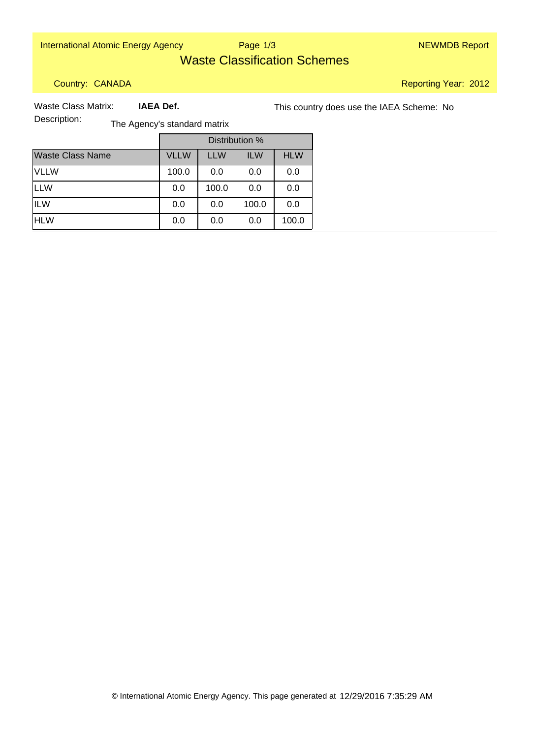International Atomic Energy Agency Nege 1/3 NEWMDB Report

Page 1/3

# Waste Classification Schemes

Country: CANADA

Reporting Year: 2012

 **IAEA Def.**

Waste Class Matrix: **IAEA Def.** This country does use the IAEA Scheme: No

Description: The Agency's standard matrix

|                         | Distribution % |            |            |            |
|-------------------------|----------------|------------|------------|------------|
| <b>Waste Class Name</b> | <b>VLLW</b>    | <b>LLW</b> | <b>ILW</b> | <b>HLW</b> |
| <b>VLLW</b>             | 100.0          | 0.0        | 0.0        | 0.0        |
| <b>LLW</b>              | 0.0            | 100.0      | 0.0        | 0.0        |
| <b>ILW</b>              | 0.0            | 0.0        | 100.0      | 0.0        |
| <b>HLW</b>              | 0.0            | 0.0        | 0.0        | 100.0      |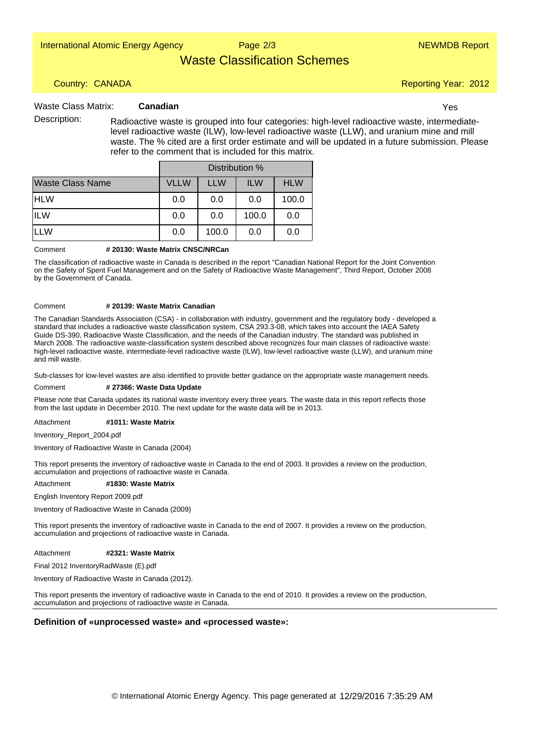Page 2/3

## Waste Classification Schemes

## Country: CANADA

#### **Canadian** Waste Class Matrix: Canadian **Canadian** Waster Communication of the Sea of the Waster Communication of the Vest

Description: Radioactive waste is grouped into four categories: high-level radioactive waste, intermediatelevel radioactive waste (ILW), low-level radioactive waste (LLW), and uranium mine and mill waste. The % cited are a first order estimate and will be updated in a future submission. Please refer to the comment that is included for this matrix.

|                         | Distribution % |            |            |            |
|-------------------------|----------------|------------|------------|------------|
| <b>Waste Class Name</b> | <b>VLLW</b>    | <b>LLW</b> | <b>ILW</b> | <b>HLW</b> |
| <b>HLW</b>              | 0.0            | 0.0        | 0.0        | 100.0      |
| <b>ILW</b>              | 0.0            | 0.0        | 100.0      | 0.0        |
| ILLW                    | 0.0            | 100.0      | 0.0        | 0.0        |

#### **# 20130: Waste Matrix CNSC/NRCan** Comment

The classification of radioactive waste in Canada is described in the report "Canadian National Report for the Joint Convention on the Safety of Spent Fuel Management and on the Safety of Radioactive Waste Management", Third Report, October 2008 by the Government of Canada.

#### **# 20139: Waste Matrix Canadian** Comment

The Canadian Standards Association (CSA) - in collaboration with industry, government and the regulatory body - developed a standard that includes a radioactive waste classification system, CSA 293.3-08, which takes into account the IAEA Safety Guide DS-390, Radioactive Waste Classification, and the needs of the Canadian industry. The standard was published in March 2008. The radioactive waste-classification system described above recognizes four main classes of radioactive waste: high-level radioactive waste, intermediate-level radioactive waste (ILW), low-level radioactive waste (LLW), and uranium mine and mill waste.

Sub-classes for low-level wastes are also identified to provide better guidance on the appropriate waste management needs.

#### **# 27366: Waste Data Update** Comment

Please note that Canada updates its national waste inventory every three years. The waste data in this report reflects those from the last update in December 2010. The next update for the waste data will be in 2013.

#### **#1011: Waste Matrix** Attachment

Inventory\_Report\_2004.pdf

Inventory of Radioactive Waste in Canada (2004)

This report presents the inventory of radioactive waste in Canada to the end of 2003. It provides a review on the production, accumulation and projections of radioactive waste in Canada.

#### **#1830: Waste Matrix** Attachment

English Inventory Report 2009.pdf

Inventory of Radioactive Waste in Canada (2009)

This report presents the inventory of radioactive waste in Canada to the end of 2007. It provides a review on the production, accumulation and projections of radioactive waste in Canada.

#### **#2321: Waste Matrix** Attachment

Final 2012 InventoryRadWaste (E).pdf

Inventory of Radioactive Waste in Canada (2012).

This report presents the inventory of radioactive waste in Canada to the end of 2010. It provides a review on the production, accumulation and projections of radioactive waste in Canada.

### **Definition of «unprocessed waste» and «processed waste»:**

Reporting Year: 2012